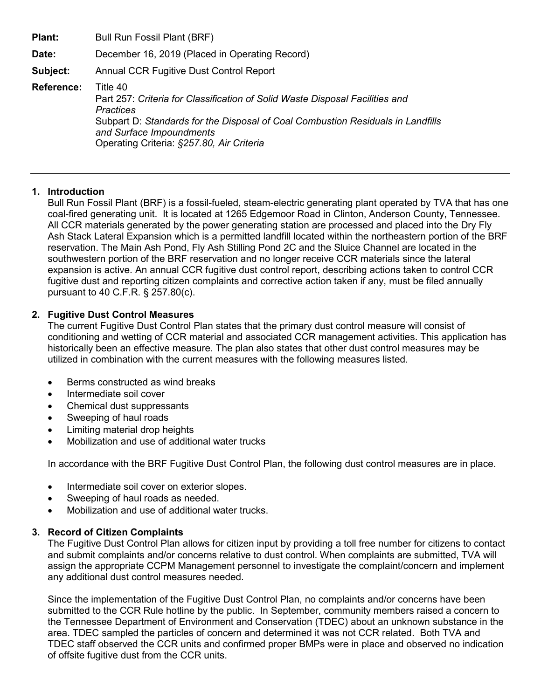**Plant:** Bull Run Fossil Plant (BRF) **Date:** December 16, 2019 (Placed in Operating Record) **Subject:** Annual CCR Fugitive Dust Control Report **Reference:** Title 40 Part 257: *Criteria for Classification of Solid Waste Disposal Facilities and Practices* Subpart D: *Standards for the Disposal of Coal Combustion Residuals in Landfills and Surface Impoundments* Operating Criteria: *§257.80, Air Criteria*

## **1. Introduction**

Bull Run Fossil Plant (BRF) is a fossil-fueled, steam-electric generating plant operated by TVA that has one coal-fired generating unit. It is located at 1265 Edgemoor Road in Clinton, Anderson County, Tennessee. All CCR materials generated by the power generating station are processed and placed into the Dry Fly Ash Stack Lateral Expansion which is a permitted landfill located within the northeastern portion of the BRF reservation. The Main Ash Pond, Fly Ash Stilling Pond 2C and the Sluice Channel are located in the southwestern portion of the BRF reservation and no longer receive CCR materials since the lateral expansion is active. An annual CCR fugitive dust control report, describing actions taken to control CCR fugitive dust and reporting citizen complaints and corrective action taken if any, must be filed annually pursuant to 40 C.F.R. § 257.80(c).

## **2. Fugitive Dust Control Measures**

The current Fugitive Dust Control Plan states that the primary dust control measure will consist of conditioning and wetting of CCR material and associated CCR management activities. This application has historically been an effective measure. The plan also states that other dust control measures may be utilized in combination with the current measures with the following measures listed.

- Berms constructed as wind breaks
- Intermediate soil cover
- Chemical dust suppressants
- Sweeping of haul roads
- Limiting material drop heights
- Mobilization and use of additional water trucks

In accordance with the BRF Fugitive Dust Control Plan, the following dust control measures are in place.

- Intermediate soil cover on exterior slopes.
- Sweeping of haul roads as needed.
- Mobilization and use of additional water trucks.

## **3. Record of Citizen Complaints**

The Fugitive Dust Control Plan allows for citizen input by providing a toll free number for citizens to contact and submit complaints and/or concerns relative to dust control. When complaints are submitted, TVA will assign the appropriate CCPM Management personnel to investigate the complaint/concern and implement any additional dust control measures needed.

Since the implementation of the Fugitive Dust Control Plan, no complaints and/or concerns have been submitted to the CCR Rule hotline by the public. In September, community members raised a concern to the Tennessee Department of Environment and Conservation (TDEC) about an unknown substance in the area. TDEC sampled the particles of concern and determined it was not CCR related. Both TVA and TDEC staff observed the CCR units and confirmed proper BMPs were in place and observed no indication of offsite fugitive dust from the CCR units.